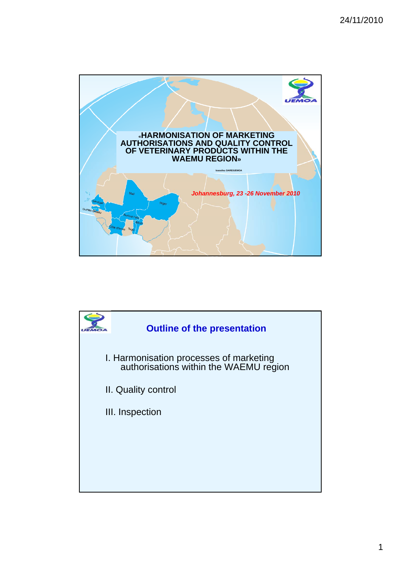

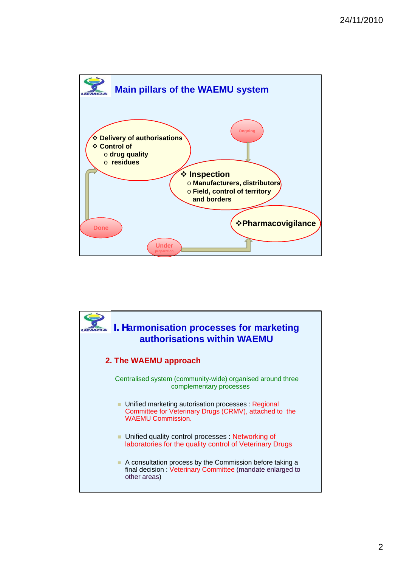

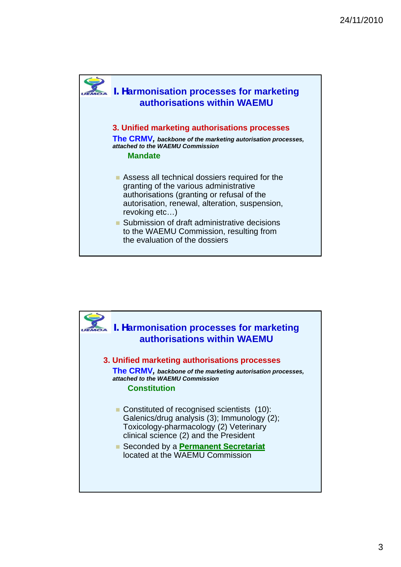

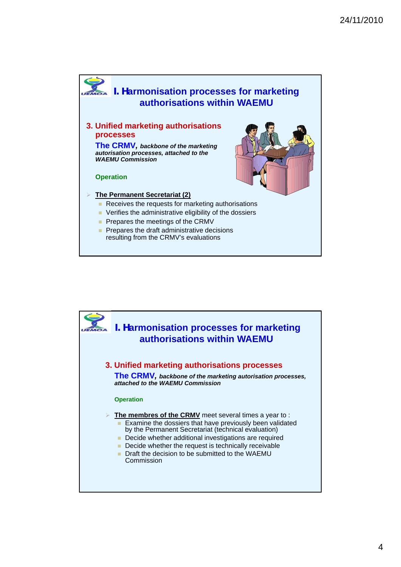

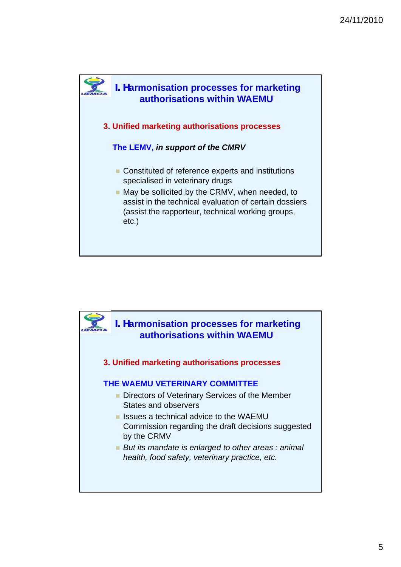

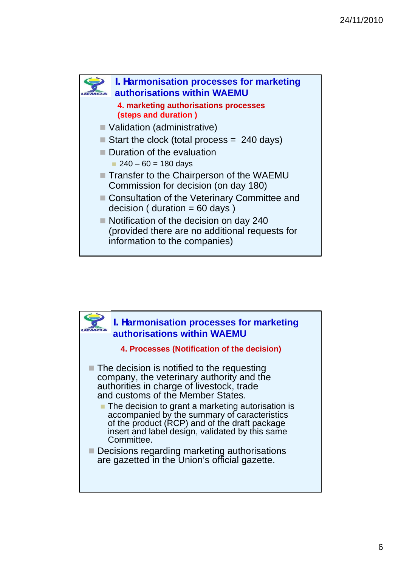

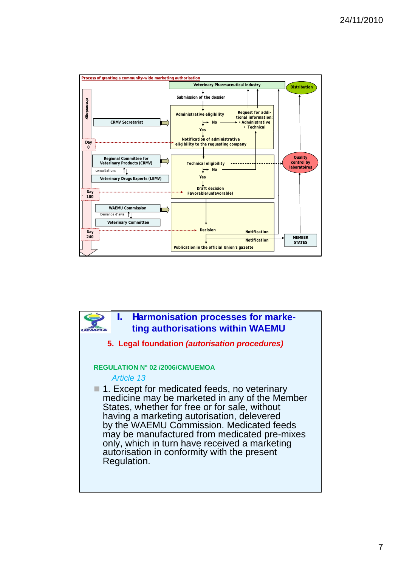

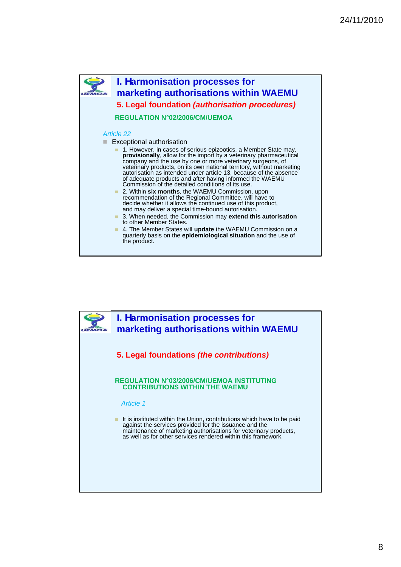

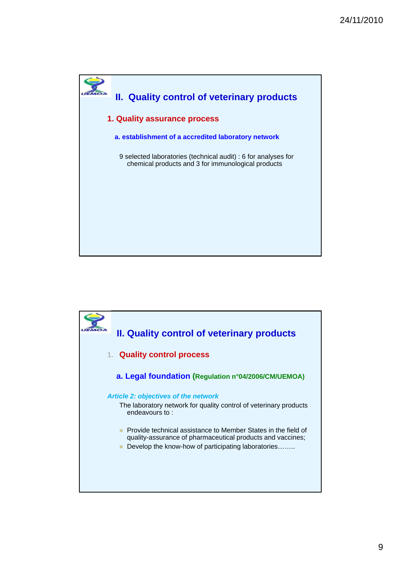

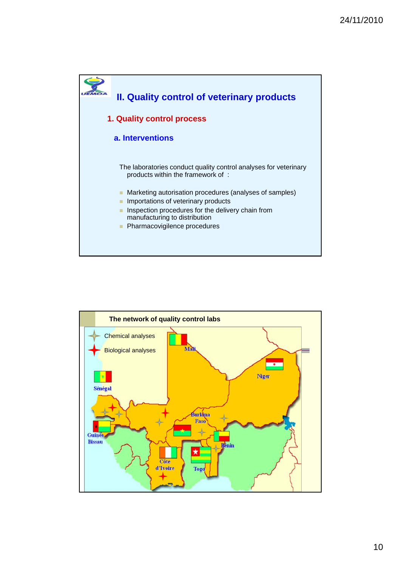

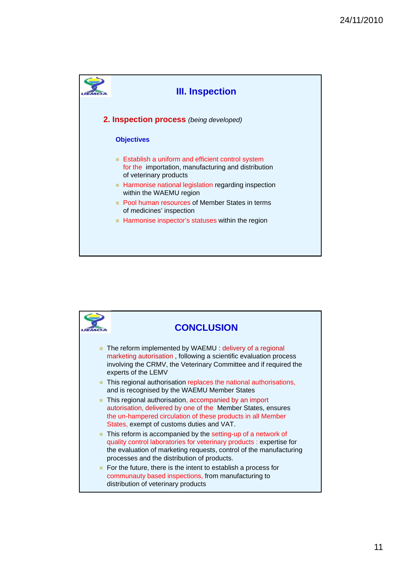